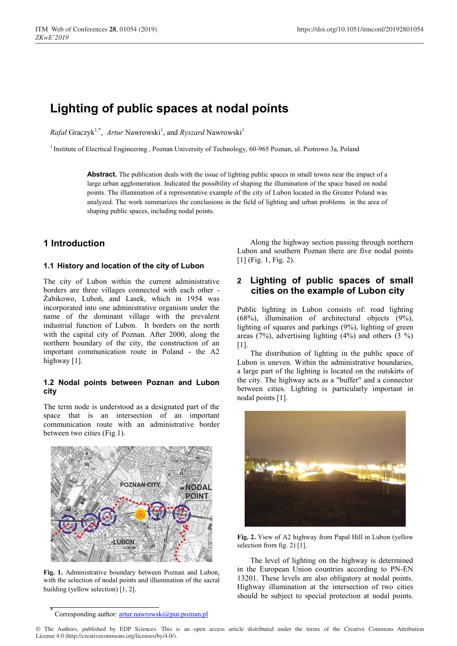# **Lighting of public spaces at nodal points**

*Rafał* Graczyk<sup>1,\*</sup>, Artur Nawrowski<sup>1</sup>, and *Ryszard* Nawrowski<sup>1</sup>

1 Institute of Elecrtical Engineering , Poznan University of Technology, 60-965 Poznan, ul. Piotrowo 3a, Poland

**Abstract.** The publication deals with the issue of lighting public spaces in small towns near the impact of a large urban agglomeration. Indicated the possibility of shaping the illumination of the space based on nodal points. The illumination of a representative example of the city of Lubon located in the Greater Poland was analyzed. The work summarizes the conclusions in the field of lighting and urban problems in the area of shaping public spaces, including nodal points.

# **1 Introduction**

#### **1.1 History and location of the city of Lubon**

The city of Lubon within the current administrative borders are three villages connected with each other - Żabikowo, Luboń, and Lasek, which in 1954 was incorporated into one administrative organism under the name of the dominant village with the prevalent industrial function of Lubon. It borders on the north with the capital city of Poznan. After 2000, along the northern boundary of the city, the construction of an important communication route in Poland - the A2 highway [1].

#### **1.2 Nodal points between Poznan and Lubon city**

The term node is understood as a designated part of the space that is an intersection of an important communication route with an administrative border between two cities (Fig.1).



**Fig. 1.** Administrative boundary between Poznan and Lubon, with the selection of nodal points and illumination of the sacral building (yellow selection) [1, 2].

Along the highway section passing through northern Lubon and southern Poznan there are five nodal points [1] (Fig. 1, Fig. 2).

#### **2 Lighting of public spaces of small cities on the example of Lubon city**

Public lighting in Lubon consists of: road lighting (68%), illumination of architectural objects (9%), lighting of squares and parkings (9%), lighting of green areas (7%), advertising lighting  $(4\%)$  and others  $(3\%)$  $|1|$ .

The distribution of lighting in the public space of Lubon is uneven. Within the administrative boundaries, a large part of the lighting is located on the outskirts of the city. The highway acts as a "buffer" and a connector between cities. Lighting is particularly important in nodal points [1].



**Fig. 2.** View of A2 highway from Papal Hill in Lubon (yellow selection from fig.  $2$ ) [1].

The level of lighting on the highway is determined in the European Union countries according to PN-EN 13201. These levels are also obligatory at nodal points. Highway illumination at the intersection of two cities should be subject to special protection at nodal points.

© The Authors, published by EDP Sciences. This is an open access article distributed under the terms of the Creative Commons Attribution License 4.0 (http://creativecommons.org/licenses/by/4.0/).

Corresponding author: artur.nawrowski@put.poznan.pl